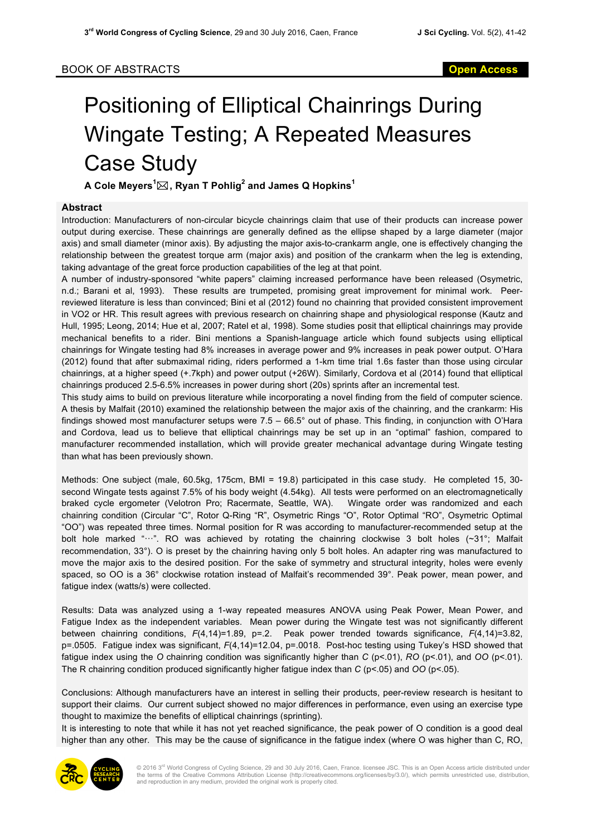## Positioning of Elliptical Chainrings During Wingate Testing; A Repeated Measures Case Study

**A Cole Meyers<sup>1</sup>** \***, Ryan T Pohlig<sup>2</sup> and James Q Hopkins<sup>1</sup>**

## **Abstract**

Introduction: Manufacturers of non-circular bicycle chainrings claim that use of their products can increase power output during exercise. These chainrings are generally defined as the ellipse shaped by a large diameter (major axis) and small diameter (minor axis). By adjusting the major axis-to-crankarm angle, one is effectively changing the relationship between the greatest torque arm (major axis) and position of the crankarm when the leg is extending, taking advantage of the great force production capabilities of the leg at that point.

A number of industry-sponsored "white papers" claiming increased performance have been released (Osymetric, n.d.; Barani et al, 1993). These results are trumpeted, promising great improvement for minimal work. Peerreviewed literature is less than convinced; Bini et al (2012) found no chainring that provided consistent improvement in VO2 or HR. This result agrees with previous research on chainring shape and physiological response (Kautz and Hull, 1995; Leong, 2014; Hue et al, 2007; Ratel et al, 1998). Some studies posit that elliptical chainrings may provide mechanical benefits to a rider. Bini mentions a Spanish-language article which found subjects using elliptical chainrings for Wingate testing had 8% increases in average power and 9% increases in peak power output. O'Hara (2012) found that after submaximal riding, riders performed a 1-km time trial 1.6s faster than those using circular chainrings, at a higher speed (+.7kph) and power output (+26W). Similarly, Cordova et al (2014) found that elliptical chainrings produced 2.5-6.5% increases in power during short (20s) sprints after an incremental test.

This study aims to build on previous literature while incorporating a novel finding from the field of computer science. A thesis by Malfait (2010) examined the relationship between the major axis of the chainring, and the crankarm: His findings showed most manufacturer setups were 7.5 – 66.5° out of phase. This finding, in conjunction with O'Hara and Cordova, lead us to believe that elliptical chainrings may be set up in an "optimal" fashion, compared to manufacturer recommended installation, which will provide greater mechanical advantage during Wingate testing than what has been previously shown.

Methods: One subject (male, 60.5kg, 175cm, BMI = 19.8) participated in this case study. He completed 15, 30 second Wingate tests against 7.5% of his body weight (4.54kg). All tests were performed on an electromagnetically braked cycle ergometer (Velotron Pro; Racermate, Seattle, WA). Wingate order was randomized and each chainring condition (Circular "C", Rotor Q-Ring "R", Osymetric Rings "O", Rotor Optimal "RO", Osymetric Optimal "OO") was repeated three times. Normal position for R was according to manufacturer-recommended setup at the bolt hole marked "···". RO was achieved by rotating the chainring clockwise 3 bolt holes (~31°; Malfait recommendation, 33°). O is preset by the chainring having only 5 bolt holes. An adapter ring was manufactured to move the major axis to the desired position. For the sake of symmetry and structural integrity, holes were evenly spaced, so OO is a 36° clockwise rotation instead of Malfait's recommended 39°. Peak power, mean power, and fatigue index (watts/s) were collected.

Results: Data was analyzed using a 1-way repeated measures ANOVA using Peak Power, Mean Power, and Fatigue Index as the independent variables. Mean power during the Wingate test was not significantly different between chainring conditions, *F*(4,14)=1.89, p=.2. Peak power trended towards significance, *F*(4,14)=3.82, p=.0505. Fatigue index was significant, *F*(4,14)=12.04, p=.0018. Post-hoc testing using Tukey's HSD showed that fatigue index using the *O* chainring condition was significantly higher than *C* (p<.01), *RO* (p<.01), and *OO* (p<.01). The R chainring condition produced significantly higher fatigue index than *C* (p<.05) and *OO* (p<.05).

Conclusions: Although manufacturers have an interest in selling their products, peer-review research is hesitant to support their claims. Our current subject showed no major differences in performance, even using an exercise type thought to maximize the benefits of elliptical chainrings (sprinting).

It is interesting to note that while it has not yet reached significance, the peak power of O condition is a good deal higher than any other. This may be the cause of significance in the fatigue index (where O was higher than C, RO,